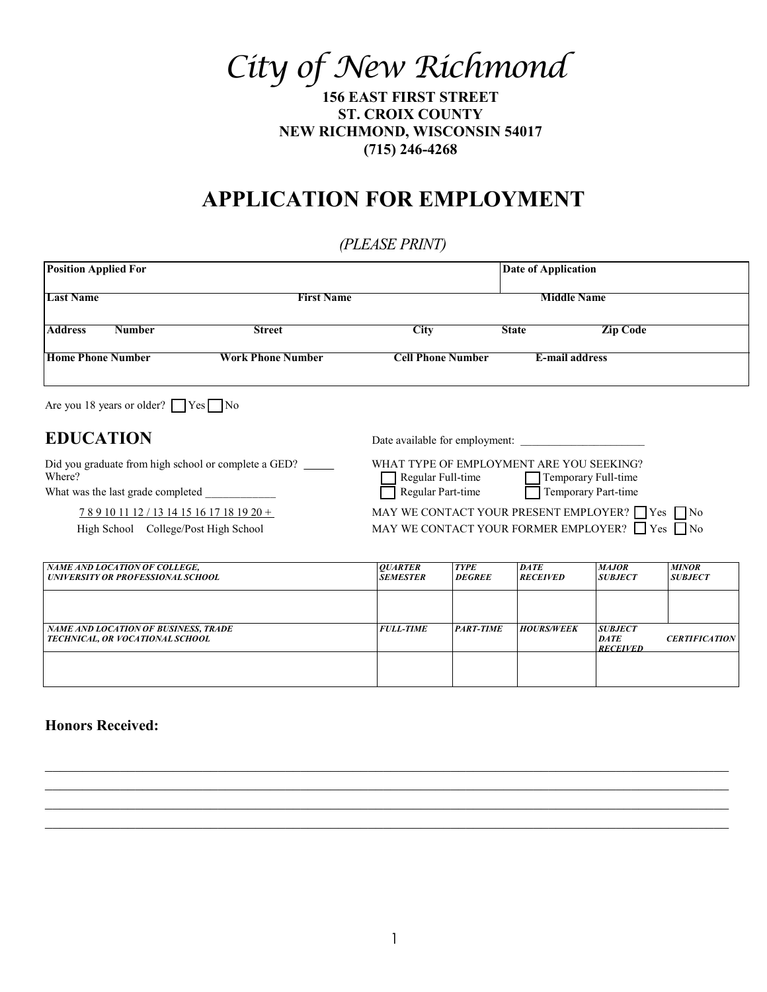*City of New Richmond*

**156 EAST FIRST STREET ST. CROIX COUNTY NEW RICHMOND, WISCONSIN 54017 (715) 246-4268**

# **APPLICATION FOR EMPLOYMENT**

## *(PLEASE PRINT)*

| <b>Position Applied For</b>                                                      |                                                                                                           | Date of Application                                                                |                              |                                |                                |                                |
|----------------------------------------------------------------------------------|-----------------------------------------------------------------------------------------------------------|------------------------------------------------------------------------------------|------------------------------|--------------------------------|--------------------------------|--------------------------------|
| <b>Last Name</b>                                                                 |                                                                                                           | <b>First Name</b>                                                                  |                              | <b>Middle Name</b>             |                                |                                |
| <b>Address</b><br><b>Number</b>                                                  | <b>Street</b>                                                                                             | <b>City</b>                                                                        |                              | <b>State</b>                   | <b>Zip Code</b>                |                                |
| <b>Home Phone Number</b><br><b>Work Phone Number</b>                             |                                                                                                           | <b>Cell Phone Number</b>                                                           |                              | <b>E-mail address</b>          |                                |                                |
| Are you 18 years or older? $\Box$ Yes $\Box$ No                                  |                                                                                                           |                                                                                    |                              |                                |                                |                                |
| <b>EDUCATION</b>                                                                 |                                                                                                           | Date available for employment:                                                     |                              |                                |                                |                                |
| Where?<br>What was the last grade completed                                      | Did you graduate from high school or complete a GED?                                                      | WHAT TYPE OF EMPLOYMENT ARE YOU SEEKING?<br>Regular Full-time<br>Regular Part-time |                              | Temporary Full-time            | Temporary Part-time            |                                |
| 789101112/1314151617181920+<br>High School College/Post High School              | MAY WE CONTACT YOUR PRESENT EMPLOYER? Yes No<br>MAY WE CONTACT YOUR FORMER EMPLOYER? $\Box$ Yes $\Box$ No |                                                                                    |                              |                                |                                |                                |
| <b>NAME AND LOCATION OF COLLEGE,</b><br><b>UNIVERSITY OR PROFESSIONAL SCHOOL</b> |                                                                                                           | <b>OUARTER</b><br><b>SEMESTER</b>                                                  | <b>TYPE</b><br><b>DEGREE</b> | <b>DATE</b><br><b>RECEIVED</b> | <b>MAJOR</b><br><b>SUBJECT</b> | <b>MINOR</b><br><b>SUBJECT</b> |
| <b>NAME AND LOCATION OF BUSINESS, TRADE</b><br>TECHNICAL, OR VOCATIONAL SCHOOL   |                                                                                                           | <b>FULL-TIME</b>                                                                   | <b>PART-TIME</b>             | <b>HOURS/WEEK</b>              | <b>SUBJECT</b><br><b>DATE</b>  | <b>CERTIFICATION</b>           |

*RECEIVED*

#### **Honors Received:**

*NAME AND LOCATION OF BUSINESS, TRADE TECHNICAL, OR VOCATIONAL SCHOOL*

 $\_$  , and the contribution of the contribution of the contribution of the contribution of  $\mathcal{L}_\text{max}$  \_\_\_\_\_\_\_\_\_\_\_\_\_\_\_\_\_\_\_\_\_\_\_\_\_\_\_\_\_\_\_\_\_\_\_\_\_\_\_\_\_\_\_\_\_\_\_\_\_\_\_\_\_\_\_\_\_\_\_\_\_\_\_\_\_\_\_\_\_\_\_\_\_\_\_\_\_\_\_\_\_\_\_\_\_\_\_\_\_\_\_ \_\_\_\_\_\_\_\_\_\_\_\_\_\_\_\_\_\_\_\_\_\_\_\_\_\_\_\_\_\_\_\_\_\_\_\_\_\_\_\_\_\_\_\_\_\_\_\_\_\_\_\_\_\_\_\_\_\_\_\_\_\_\_\_\_\_\_\_\_\_\_\_\_\_\_\_\_\_\_\_\_\_\_\_\_\_\_\_\_\_\_ \_\_\_\_\_\_\_\_\_\_\_\_\_\_\_\_\_\_\_\_\_\_\_\_\_\_\_\_\_\_\_\_\_\_\_\_\_\_\_\_\_\_\_\_\_\_\_\_\_\_\_\_\_\_\_\_\_\_\_\_\_\_\_\_\_\_\_\_\_\_\_\_\_\_\_\_\_\_\_\_\_\_\_\_\_\_\_\_\_\_\_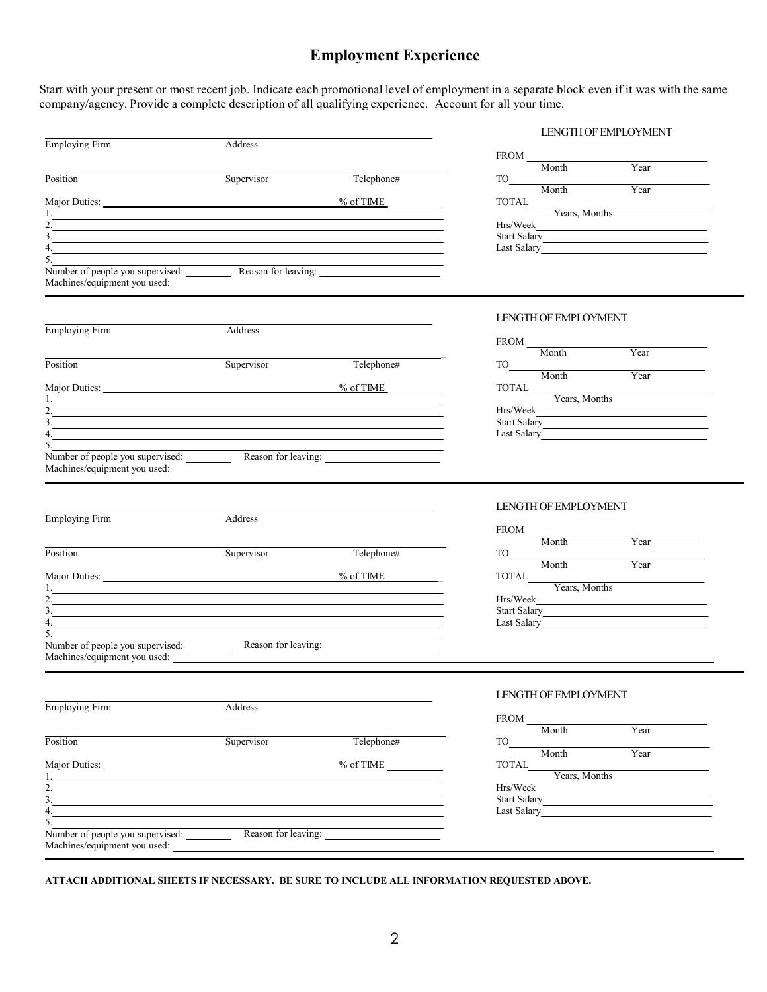### **Employment Experience**

Start with your present or most recent job. Indicate each promotional level of employment in a separate block even if it was with the same company/agency. Provide a complete description of all qualifying experience. Account for all your time.

|                                                                                                                                                                                                                                |            |                                                            |                                                                                                                                                                                                                                                                                                                                           | <b>LENGTH OF EMPLOYMENT</b>                                  |
|--------------------------------------------------------------------------------------------------------------------------------------------------------------------------------------------------------------------------------|------------|------------------------------------------------------------|-------------------------------------------------------------------------------------------------------------------------------------------------------------------------------------------------------------------------------------------------------------------------------------------------------------------------------------------|--------------------------------------------------------------|
| Employing Firm                                                                                                                                                                                                                 | Address    |                                                            |                                                                                                                                                                                                                                                                                                                                           |                                                              |
|                                                                                                                                                                                                                                |            |                                                            | $\begin{tabular}{c} \bf FROM \hspace{0.09cm} & \hspace{0.09cm} & \hspace{0.09cm} & \hspace{0.09cm} & \hspace{0.09cm} & \hspace{0.09cm} & \hspace{0.09cm} & \hspace{0.09cm} & \hspace{0.09cm} & \hspace{0.09cm} & \hspace{0.09cm} & \hspace{0.09cm} & \hspace{0.09cm} & \hspace{0.09cm} & \hspace{0.09cm} & \hspace{0.09cm} \end{tabular}$ | Year                                                         |
| Position                                                                                                                                                                                                                       | Supervisor | Telephone#                                                 |                                                                                                                                                                                                                                                                                                                                           |                                                              |
| Major Duties: 2020 Major Duties: 2020 Major Duties: 2020 Major Duties: 2020 Major Duties: 2020 Major Duties: 2020 Major Duties: 2020 Major Duties: 2020 Major Duties: 2020 Major Duties: 2020 Major Duties: 2020 Major Duties: |            |                                                            |                                                                                                                                                                                                                                                                                                                                           |                                                              |
|                                                                                                                                                                                                                                |            |                                                            |                                                                                                                                                                                                                                                                                                                                           | TOTAL<br>Years, Months                                       |
| <u> 1989 - Johann Barn, amerikan besteman besteman besteman besteman besteman besteman besteman besteman bestema</u>                                                                                                           |            |                                                            |                                                                                                                                                                                                                                                                                                                                           |                                                              |
| $\frac{1}{2}$<br>$\overline{4.5}$                                                                                                                                                                                              |            |                                                            |                                                                                                                                                                                                                                                                                                                                           | Start Salary<br>Last Salary                                  |
|                                                                                                                                                                                                                                |            |                                                            |                                                                                                                                                                                                                                                                                                                                           |                                                              |
| Number of people you supervised: Reason for leaving:<br>Machines/equipment you used:                                                                                                                                           |            |                                                            |                                                                                                                                                                                                                                                                                                                                           |                                                              |
|                                                                                                                                                                                                                                |            |                                                            | LENGTH OF EMPLOYMENT                                                                                                                                                                                                                                                                                                                      |                                                              |
| Employing Firm                                                                                                                                                                                                                 | Address    |                                                            |                                                                                                                                                                                                                                                                                                                                           |                                                              |
|                                                                                                                                                                                                                                |            |                                                            |                                                                                                                                                                                                                                                                                                                                           |                                                              |
|                                                                                                                                                                                                                                | Supervisor |                                                            |                                                                                                                                                                                                                                                                                                                                           | Year                                                         |
| Position                                                                                                                                                                                                                       |            | Telephone#                                                 |                                                                                                                                                                                                                                                                                                                                           | Year                                                         |
|                                                                                                                                                                                                                                |            |                                                            |                                                                                                                                                                                                                                                                                                                                           |                                                              |
| <u> 1989 - Johann Stein, mars an de Brasilia (b. 1989)</u>                                                                                                                                                                     |            |                                                            | TOTAL<br>Years, Months                                                                                                                                                                                                                                                                                                                    |                                                              |
| 2.                                                                                                                                                                                                                             |            |                                                            |                                                                                                                                                                                                                                                                                                                                           | Hrs/Week                                                     |
| $\frac{1}{2}$<br>$\frac{1}{2}$                                                                                                                                                                                                 |            |                                                            |                                                                                                                                                                                                                                                                                                                                           | Start Salary                                                 |
|                                                                                                                                                                                                                                |            | <u> 1989 - Johann Stein, mars an de Brasilia (b. 1989)</u> |                                                                                                                                                                                                                                                                                                                                           |                                                              |
| Number of people you supervised: Reason for leaving:<br>Machines/equipment you used:                                                                                                                                           |            |                                                            |                                                                                                                                                                                                                                                                                                                                           |                                                              |
|                                                                                                                                                                                                                                |            |                                                            |                                                                                                                                                                                                                                                                                                                                           |                                                              |
|                                                                                                                                                                                                                                |            |                                                            | LENGTH OF EMPLOYMENT                                                                                                                                                                                                                                                                                                                      |                                                              |
| Employing Firm                                                                                                                                                                                                                 | Address    |                                                            |                                                                                                                                                                                                                                                                                                                                           |                                                              |
|                                                                                                                                                                                                                                |            |                                                            |                                                                                                                                                                                                                                                                                                                                           |                                                              |
| Position                                                                                                                                                                                                                       | Supervisor | Telephone#                                                 | FROM Month<br>TO Month                                                                                                                                                                                                                                                                                                                    | Year                                                         |
|                                                                                                                                                                                                                                |            |                                                            |                                                                                                                                                                                                                                                                                                                                           | Year                                                         |
|                                                                                                                                                                                                                                |            | % of TIME                                                  |                                                                                                                                                                                                                                                                                                                                           | TOTAL<br>Years, Months                                       |
|                                                                                                                                                                                                                                |            |                                                            |                                                                                                                                                                                                                                                                                                                                           |                                                              |
| <u> 1989 - Johann Stoff, amerikansk politiker (d. 1989)</u><br>$\frac{1}{2}$                                                                                                                                                   |            |                                                            |                                                                                                                                                                                                                                                                                                                                           | Hrs/Week<br>Start Salary                                     |
| <u> 1989 - Johann Stoff, amerikansk politiker (* 1908)</u>                                                                                                                                                                     |            |                                                            |                                                                                                                                                                                                                                                                                                                                           | Last Salary                                                  |
|                                                                                                                                                                                                                                |            |                                                            |                                                                                                                                                                                                                                                                                                                                           |                                                              |
| Machines/equipment you used:                                                                                                                                                                                                   |            |                                                            |                                                                                                                                                                                                                                                                                                                                           |                                                              |
|                                                                                                                                                                                                                                |            |                                                            | LENGTH OF EMPLOYMENT                                                                                                                                                                                                                                                                                                                      |                                                              |
| Employing Firm                                                                                                                                                                                                                 | Address    |                                                            |                                                                                                                                                                                                                                                                                                                                           |                                                              |
|                                                                                                                                                                                                                                |            |                                                            | $\begin{tabular}{c} \bf FROM \\ \hline \textbf{Month} \end{tabular}$                                                                                                                                                                                                                                                                      |                                                              |
| Position                                                                                                                                                                                                                       | Supervisor | Telephone#                                                 |                                                                                                                                                                                                                                                                                                                                           | Year                                                         |
|                                                                                                                                                                                                                                |            |                                                            | Month                                                                                                                                                                                                                                                                                                                                     | Year                                                         |
|                                                                                                                                                                                                                                |            | % of TIME                                                  |                                                                                                                                                                                                                                                                                                                                           | TOTAL<br>Years, Months                                       |
| 1.<br>and the control of the control of the control of the control of the control of the control of the control of the<br>2.                                                                                                   |            |                                                            |                                                                                                                                                                                                                                                                                                                                           |                                                              |
| <u> 1989 - Johann Stoff, amerikansk politiker (d. 1989)</u><br>$\overline{3.}$ $\overline{\phantom{27.}0}$                                                                                                                     |            |                                                            | Hrs/Week                                                                                                                                                                                                                                                                                                                                  | the control of the control of the control of<br>Start Salary |
| 4. $\qquad \qquad$                                                                                                                                                                                                             |            |                                                            |                                                                                                                                                                                                                                                                                                                                           | Last Salary <b>Example 2</b> Last Salary                     |
| 5.                                                                                                                                                                                                                             |            |                                                            |                                                                                                                                                                                                                                                                                                                                           |                                                              |
| Number of people you supervised:<br>Machines/equipment you used:                                                                                                                                                               |            | Reason for leaving:                                        |                                                                                                                                                                                                                                                                                                                                           |                                                              |
|                                                                                                                                                                                                                                |            |                                                            |                                                                                                                                                                                                                                                                                                                                           |                                                              |

**ATTACH ADDITIONAL SHEETS IF NECESSARY. BE SURE TO INCLUDE ALL INFORMATION REQUESTED ABOVE.**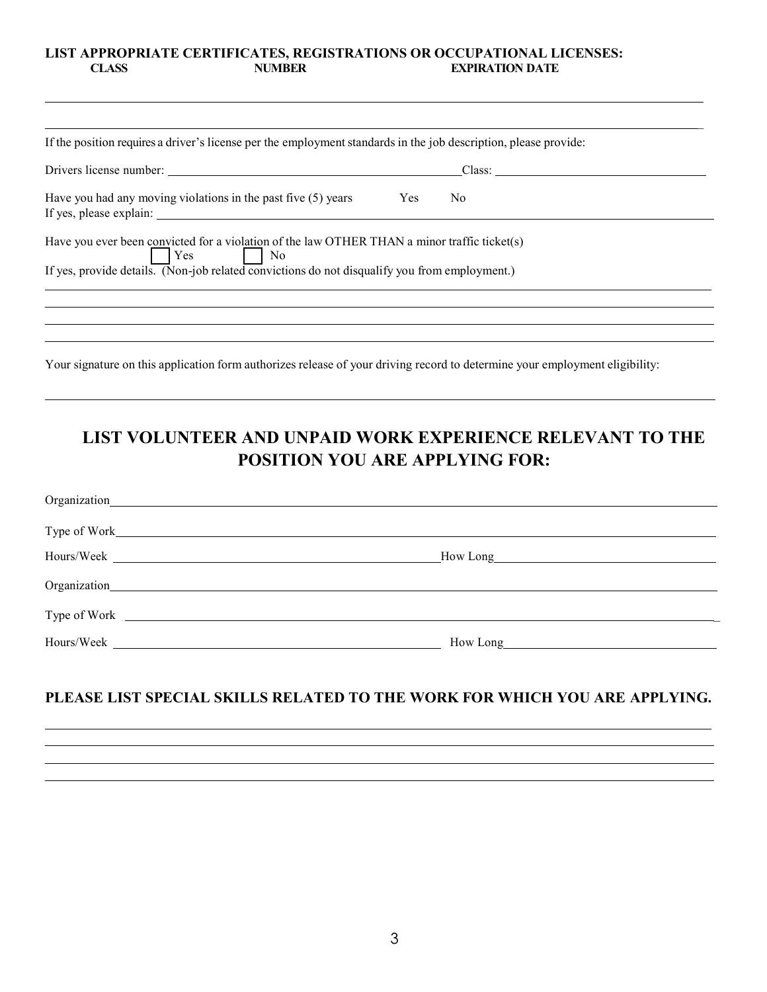#### **LIST APPROPRIATE CERTIFICATES, REGISTRATIONS OR OCCUPATIONAL LICENSES: EXPIRATION DATE**

| If the position requires a driver's license per the employment standards in the job description, please provide:                                                                              |        |
|-----------------------------------------------------------------------------------------------------------------------------------------------------------------------------------------------|--------|
|                                                                                                                                                                                               |        |
| Yes<br>Have you had any moving violations in the past five $(5)$ years<br>N <sub>o</sub>                                                                                                      |        |
| Have you ever been convicted for a violation of the law OTHER THAN a minor traffic ticket(s)<br>If yes, provide details. (Non-job related convictions do not disqualify you from employment.) |        |
|                                                                                                                                                                                               |        |
|                                                                                                                                                                                               | Class: |

## **LIST VOLUNTEER AND UNPAID WORK EXPERIENCE RELEVANT TO THE POSITION YOU ARE APPLYING FOR:**

| Hours/Week <u>New York and the set of the set of the set of the set of the set of the set of the set of the set of the set of the set of the set of the set of the set of the set of the set of the set of the set of the set of</u> | How Long |
|--------------------------------------------------------------------------------------------------------------------------------------------------------------------------------------------------------------------------------------|----------|
|                                                                                                                                                                                                                                      |          |
| Type of Work <u>example and the set of Work and the set of Work and the set of Work and the set of Work and the set of the set of the set of the set of the set of the set of the set of the set of the set of the set of the se</u> |          |
|                                                                                                                                                                                                                                      | How Long |

### **PLEASE LIST SPECIAL SKILLS RELATED TO THE WORK FOR WHICH YOU ARE APPLYING.**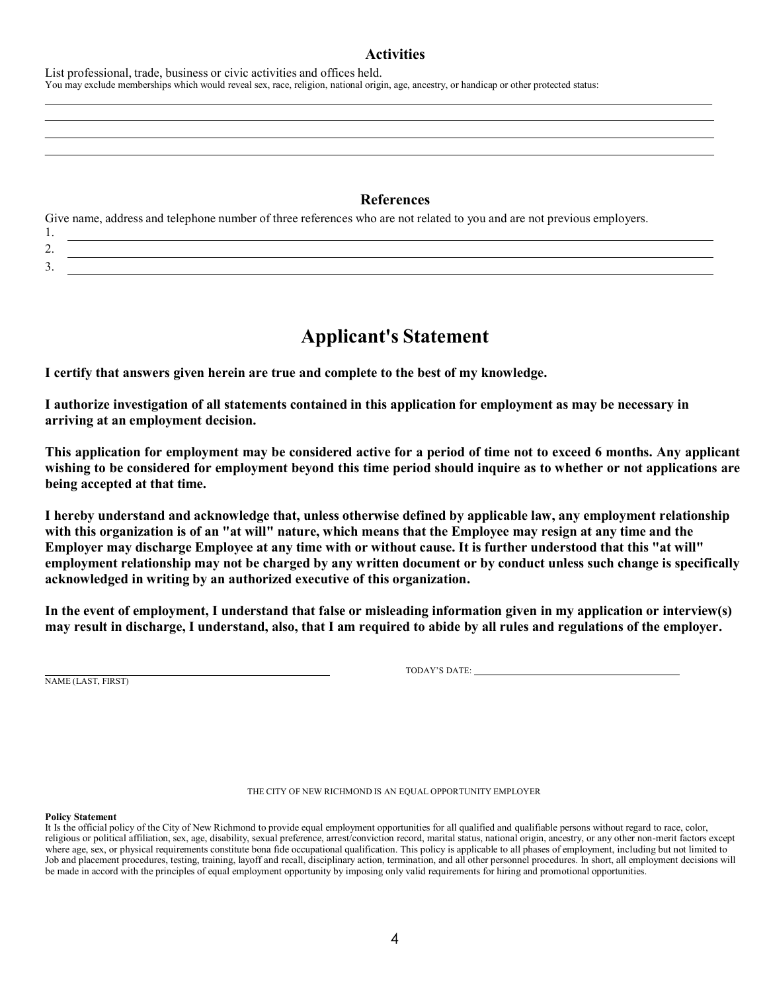#### **Activities**

List professional, trade, business or civic activities and offices held. You may exclude memberships which would reveal sex, race, religion, national origin, age, ancestry, or handicap or other protected status:

#### **References**

Give name, address and telephone number of three references who are not related to you and are not previous employers. 1.

| <u>.</u> |  |
|----------|--|
| ້        |  |

## **Applicant's Statement**

**I certify that answers given herein are true and complete to the best of my knowledge.**

**I authorize investigation of all statements contained in this application for employment as may be necessary in arriving at an employment decision.**

**This application for employment may be considered active for a period of time not to exceed 6 months. Any applicant wishing to be considered for employment beyond this time period should inquire as to whether or not applications are being accepted at that time.**

**I hereby understand and acknowledge that, unless otherwise defined by applicable law, any employment relationship with this organization is of an "at will" nature, which means that the Employee may resign at any time and the Employer may discharge Employee at any time with or without cause. It is further understood that this "at will" employment relationship may not be charged by any written document or by conduct unless such change is specifically acknowledged in writing by an authorized executive of this organization.**

**In the event of employment, I understand that false or misleading information given in my application or interview(s) may result in discharge, I understand, also, that I am required to abide by all rules and regulations of the employer.**

NAME (LAST, FIRST)

TODAY'S DATE:

THE CITY OF NEW RICHMOND IS AN EQUAL OPPORTUNITY EMPLOYER

**Policy Statement**

It Is the official policy of the City of New Richmond to provide equal employment opportunities for all qualified and qualifiable persons without regard to race, color, religious or political affiliation, sex, age, disability, sexual preference, arrest/conviction record, marital status, national origin, ancestry, or any other non-merit factors except where age, sex, or physical requirements constitute bona fide occupational qualification. This policy is applicable to all phases of employment, including but not limited to Job and placement procedures, testing, training, layoff and recall, disciplinary action, termination, and all other personnel procedures. In short, all employment decisions will be made in accord with the principles of equal employment opportunity by imposing only valid requirements for hiring and promotional opportunities.